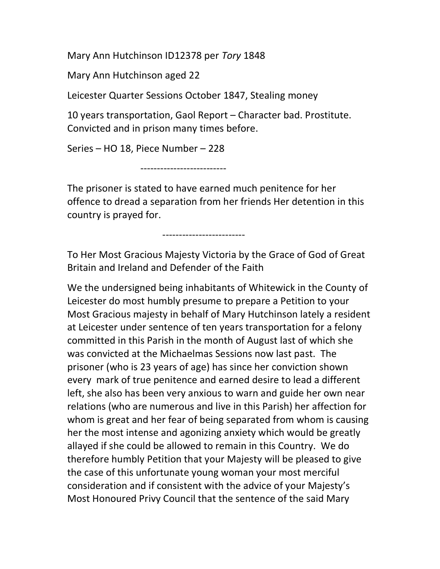Mary Ann Hutchinson ID12378 per Tory 1848

Mary Ann Hutchinson aged 22

Leicester Quarter Sessions October 1847, Stealing money

10 years transportation, Gaol Report – Character bad. Prostitute. Convicted and in prison many times before.

Series – HO 18, Piece Number – 228

--------------------------

The prisoner is stated to have earned much penitence for her offence to dread a separation from her friends Her detention in this country is prayed for.

-------------------------

To Her Most Gracious Majesty Victoria by the Grace of God of Great Britain and Ireland and Defender of the Faith

We the undersigned being inhabitants of Whitewick in the County of Leicester do most humbly presume to prepare a Petition to your Most Gracious majesty in behalf of Mary Hutchinson lately a resident at Leicester under sentence of ten years transportation for a felony committed in this Parish in the month of August last of which she was convicted at the Michaelmas Sessions now last past. The prisoner (who is 23 years of age) has since her conviction shown every mark of true penitence and earned desire to lead a different left, she also has been very anxious to warn and guide her own near relations (who are numerous and live in this Parish) her affection for whom is great and her fear of being separated from whom is causing her the most intense and agonizing anxiety which would be greatly allayed if she could be allowed to remain in this Country. We do therefore humbly Petition that your Majesty will be pleased to give the case of this unfortunate young woman your most merciful consideration and if consistent with the advice of your Majesty's Most Honoured Privy Council that the sentence of the said Mary